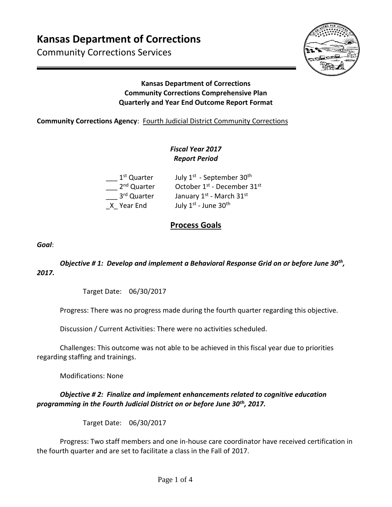# **Kansas Department of Corrections**

Community Corrections Services



#### **Kansas Department of Corrections Community Corrections Comprehensive Plan Quarterly and Year End Outcome Report Format**

#### **Community Corrections Agency**: Fourth Judicial District Community Corrections

### *Fiscal Year 2017 Report Period*

| 1 <sup>st</sup> Quarter | July 1 <sup>st</sup> - September 30 <sup>th</sup>   |
|-------------------------|-----------------------------------------------------|
| 2 <sup>nd</sup> Quarter | October 1 <sup>st</sup> - December 31 <sup>st</sup> |
| 3rd Quarter             | January 1st - March 31st                            |
| X Year End              | July 1st - June 30th                                |

## **Process Goals**

*Goal*:

#### *Objective # 1: Develop and implement a Behavioral Response Grid on or before June 30th , 2017.*

Target Date: 06/30/2017

Progress: There was no progress made during the fourth quarter regarding this objective.

Discussion / Current Activities: There were no activities scheduled.

Challenges: This outcome was not able to be achieved in this fiscal year due to priorities regarding staffing and trainings.

Modifications: None

#### *Objective # 2: Finalize and implement enhancements related to cognitive education programming in the Fourth Judicial District on or before June 30th, 2017.*

Target Date: 06/30/2017

Progress: Two staff members and one in-house care coordinator have received certification in the fourth quarter and are set to facilitate a class in the Fall of 2017.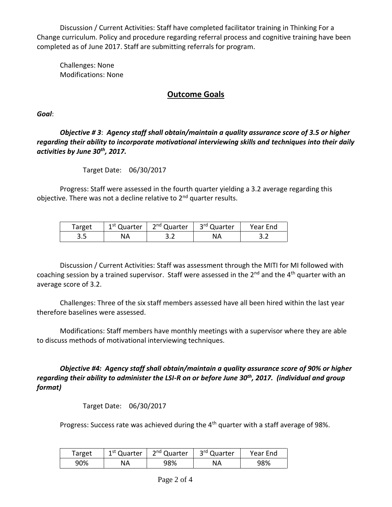Discussion / Current Activities: Staff have completed facilitator training in Thinking For a Change curriculum. Policy and procedure regarding referral process and cognitive training have been completed as of June 2017. Staff are submitting referrals for program.

Challenges: None Modifications: None

## **Outcome Goals**

*Goal*:

*Objective # 3*: *Agency staff shall obtain/maintain a quality assurance score of 3.5 or higher regarding their ability to incorporate motivational interviewing skills and techniques into their daily activities by June 30th, 2017.* 

Target Date: 06/30/2017

Progress: Staff were assessed in the fourth quarter yielding a 3.2 average regarding this objective. There was not a decline relative to  $2^{nd}$  quarter results.

| Target | <sup>1st</sup> Quarter | 2 <sup>nd</sup> Quarter | 3 <sup>rd</sup> Quarter | Year End |
|--------|------------------------|-------------------------|-------------------------|----------|
| כ.כ    | NA                     |                         | NA                      | ے . ۔    |

Discussion / Current Activities: Staff was assessment through the MITI for MI followed with coaching session by a trained supervisor. Staff were assessed in the 2<sup>nd</sup> and the 4<sup>th</sup> quarter with an average score of 3.2.

Challenges: Three of the six staff members assessed have all been hired within the last year therefore baselines were assessed.

Modifications: Staff members have monthly meetings with a supervisor where they are able to discuss methods of motivational interviewing techniques.

*Objective #4: Agency staff shall obtain/maintain a quality assurance score of 90% or higher regarding their ability to administer the LSI-R on or before June 30th, 2017. (individual and group format)* 

Target Date: 06/30/2017

Progress: Success rate was achieved during the 4<sup>th</sup> quarter with a staff average of 98%.

| Target | 1 <sup>st</sup> Quarter | 2 <sup>nd</sup> Quarter | 3rd Quarter | Year End |
|--------|-------------------------|-------------------------|-------------|----------|
| 90%    | NA                      | 98%                     | NА          | 98%      |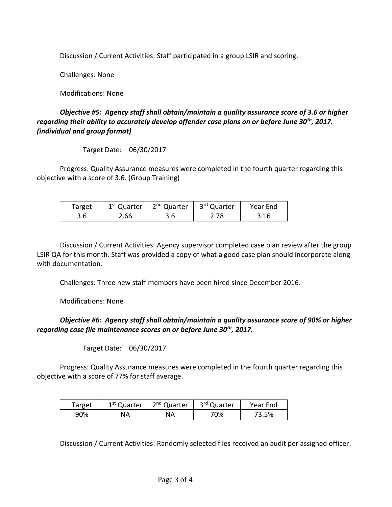Discussion / Current Activities: Staff participated in a group LSIR and scoring.

Challenges: None

Modifications: None

#### *Objective #5: Agency staff shall obtain/maintain a quality assurance score of 3.6 or higher regarding their ability to accurately develop offender case plans on or before June 30th, 2017. (individual and group format)*

Target Date: 06/30/2017

Progress: Quality Assurance measures were completed in the fourth quarter regarding this objective with a score of 3.6. (Group Training)

| Target | 1 <sup>st</sup> Quarter | 2 <sup>nd</sup> Quarter | 3 <sup>rd</sup> Quarter | Year End |
|--------|-------------------------|-------------------------|-------------------------|----------|
| 3.6    | 2.66                    | 3.6                     | 2.78                    | 3.16     |

Discussion / Current Activities: Agency supervisor completed case plan review after the group LSIR QA for this month. Staff was provided a copy of what a good case plan should incorporate along with documentation.

Challenges: Three new staff members have been hired since December 2016.

Modifications: None

#### *Objective #6: Agency staff shall obtain/maintain a quality assurance score of 90% or higher regarding case file maintenance scores on or before June 30th, 2017.*

Target Date: 06/30/2017

Progress: Quality Assurance measures were completed in the fourth quarter regarding this objective with a score of 77% for staff average.

| Target | 1 <sup>st</sup> Quarter | 2 <sup>nd</sup> Quarter | 3 <sup>rd</sup> Quarter | Year End |
|--------|-------------------------|-------------------------|-------------------------|----------|
| 90%    | NA                      | ΝA                      | '0%                     | 73.5%    |

Discussion / Current Activities: Randomly selected files received an audit per assigned officer.